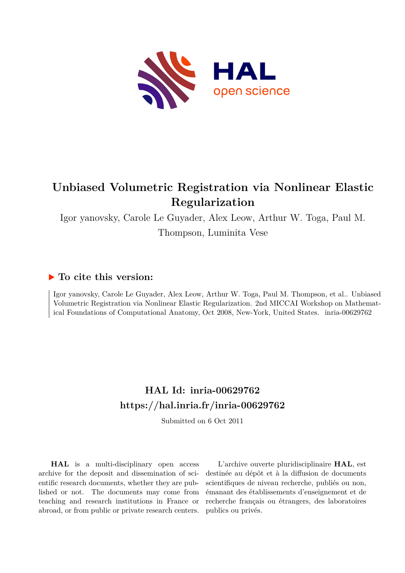

# **Unbiased Volumetric Registration via Nonlinear Elastic Regularization**

Igor yanovsky, Carole Le Guyader, Alex Leow, Arthur W. Toga, Paul M.

Thompson, Luminita Vese

# **To cite this version:**

Igor yanovsky, Carole Le Guyader, Alex Leow, Arthur W. Toga, Paul M. Thompson, et al.. Unbiased Volumetric Registration via Nonlinear Elastic Regularization. 2nd MICCAI Workshop on Mathematical Foundations of Computational Anatomy, Oct 2008, New-York, United States. inria-00629762

# **HAL Id: inria-00629762 <https://hal.inria.fr/inria-00629762>**

Submitted on 6 Oct 2011

**HAL** is a multi-disciplinary open access archive for the deposit and dissemination of scientific research documents, whether they are published or not. The documents may come from teaching and research institutions in France or abroad, or from public or private research centers.

L'archive ouverte pluridisciplinaire **HAL**, est destinée au dépôt et à la diffusion de documents scientifiques de niveau recherche, publiés ou non, émanant des établissements d'enseignement et de recherche français ou étrangers, des laboratoires publics ou privés.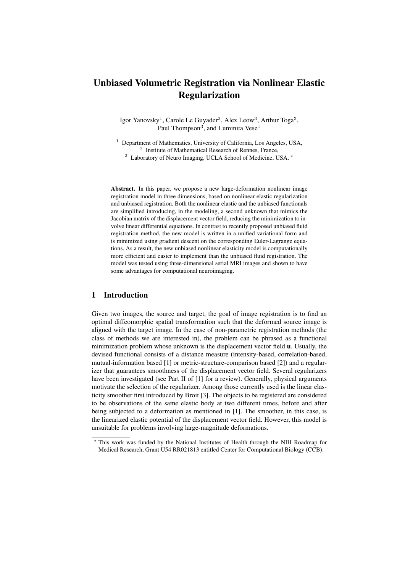# Unbiased Volumetric Registration via Nonlinear Elastic Regularization

Igor Yanovsky<sup>1</sup>, Carole Le Guyader<sup>2</sup>, Alex Leow<sup>3</sup>, Arthur Toga<sup>3</sup>, Paul Thompson<sup>3</sup>, and Luminita Vese<sup>1</sup>

<sup>1</sup> Department of Mathematics, University of California, Los Angeles, USA, <sup>2</sup> Institute of Mathematical Research of Rennes, France, <sup>3</sup> Laboratory of Neuro Imaging, UCLA School of Medicine, USA.  $^*$ 

Abstract. In this paper, we propose a new large-deformation nonlinear image registration model in three dimensions, based on nonlinear elastic regularization and unbiased registration. Both the nonlinear elastic and the unbiased functionals are simplified introducing, in the modeling, a second unknown that mimics the Jacobian matrix of the displacement vector field, reducing the minimization to involve linear differential equations. In contrast to recently proposed unbiased fluid registration method, the new model is written in a unified variational form and is minimized using gradient descent on the corresponding Euler-Lagrange equations. As a result, the new unbiased nonlinear elasticity model is computationally more efficient and easier to implement than the unbiased fluid registration. The model was tested using three-dimensional serial MRI images and shown to have some advantages for computational neuroimaging.

# 1 Introduction

Given two images, the source and target, the goal of image registration is to find an optimal diffeomorphic spatial transformation such that the deformed source image is aligned with the target image. In the case of non-parametric registration methods (the class of methods we are interested in), the problem can be phrased as a functional minimization problem whose unknown is the displacement vector field u. Usually, the devised functional consists of a distance measure (intensity-based, correlation-based, mutual-information based [1] or metric-structure-comparison based [2]) and a regularizer that guarantees smoothness of the displacement vector field. Several regularizers have been investigated (see Part II of [1] for a review). Generally, physical arguments motivate the selection of the regularizer. Among those currently used is the linear elasticity smoother first introduced by Broit [3]. The objects to be registered are considered to be observations of the same elastic body at two different times, before and after being subjected to a deformation as mentioned in [1]. The smoother, in this case, is the linearized elastic potential of the displacement vector field. However, this model is unsuitable for problems involving large-magnitude deformations.

<sup>⋆</sup> This work was funded by the National Institutes of Health through the NIH Roadmap for Medical Research, Grant U54 RR021813 entitled Center for Computational Biology (CCB).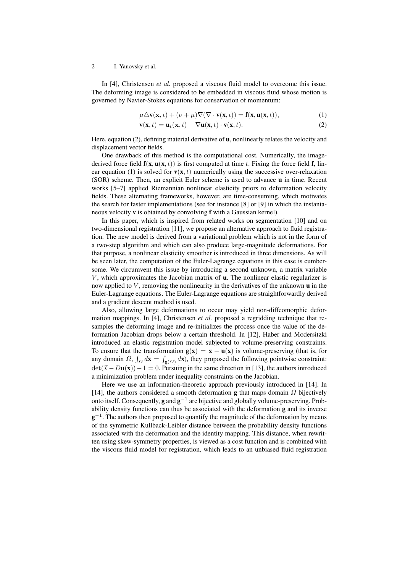In [4], Christensen *et al.* proposed a viscous fluid model to overcome this issue. The deforming image is considered to be embedded in viscous fluid whose motion is governed by Navier-Stokes equations for conservation of momentum:

$$
\mu \triangle \mathbf{v}(\mathbf{x},t) + (\nu + \mu) \nabla (\nabla \cdot \mathbf{v}(\mathbf{x},t)) = \mathbf{f}(\mathbf{x}, \mathbf{u}(\mathbf{x},t)),
$$
\n(1)

$$
\mathbf{v}(\mathbf{x},t) = \mathbf{u}_t(\mathbf{x},t) + \nabla \mathbf{u}(\mathbf{x},t) \cdot \mathbf{v}(\mathbf{x},t).
$$
 (2)

Here, equation (2), defining material derivative of  $\bf{u}$ , nonlinearly relates the velocity and displacement vector fields.

One drawback of this method is the computational cost. Numerically, the imagederived force field  $f(x, u(x, t))$  is first computed at time t. Fixing the force field f, linear equation (1) is solved for  $\mathbf{v}(\mathbf{x}, t)$  numerically using the successive over-relaxation (SOR) scheme. Then, an explicit Euler scheme is used to advance u in time. Recent works [5–7] applied Riemannian nonlinear elasticity priors to deformation velocity fields. These alternating frameworks, however, are time-consuming, which motivates the search for faster implementations (see for instance [8] or [9] in which the instantaneous velocity v is obtained by convolving f with a Gaussian kernel).

In this paper, which is inspired from related works on segmentation [10] and on two-dimensional registration [11], we propose an alternative approach to fluid registration. The new model is derived from a variational problem which is not in the form of a two-step algorithm and which can also produce large-magnitude deformations. For that purpose, a nonlinear elasticity smoother is introduced in three dimensions. As will be seen later, the computation of the Euler-Lagrange equations in this case is cumbersome. We circumvent this issue by introducing a second unknown, a matrix variable  $V$ , which approximates the Jacobian matrix of  $u$ . The nonlinear elastic regularizer is now applied to  $V$ , removing the nonlinearity in the derivatives of the unknown  $\bf{u}$  in the Euler-Lagrange equations. The Euler-Lagrange equations are straightforwardly derived and a gradient descent method is used.

Also, allowing large deformations to occur may yield non-diffeomorphic deformation mappings. In [4], Christensen *et al.* proposed a regridding technique that resamples the deforming image and re-initializes the process once the value of the deformation Jacobian drops below a certain threshold. In [12], Haber and Modersitzki introduced an elastic registration model subjected to volume-preserving constraints. To ensure that the transformation  $g(x) = x - u(x)$  is volume-preserving (that is, for any domain  $\Omega$ ,  $\int_{\Omega} d\mathbf{x} = \int_{\mathbf{g}(\Omega)} d\mathbf{x}$ , they proposed the following pointwise constraint:  $\det(\mathcal{I} - D\mathbf{u}(\mathbf{x})) - 1 = 0$ . Pursuing in the same direction in [13], the authors introduced a minimization problem under inequality constraints on the Jacobian.

Here we use an information-theoretic approach previously introduced in [14]. In [14], the authors considered a smooth deformation **g** that maps domain  $\Omega$  bijectively onto itself. Consequently,  $g$  and  $g^{-1}$  are bijective and globally volume-preserving. Probability density functions can thus be associated with the deformation g and its inverse  $g^{-1}$ . The authors then proposed to quantify the magnitude of the deformation by means of the symmetric Kullback-Leibler distance between the probability density functions associated with the deformation and the identity mapping. This distance, when rewritten using skew-symmetry properties, is viewed as a cost function and is combined with the viscous fluid model for registration, which leads to an unbiased fluid registration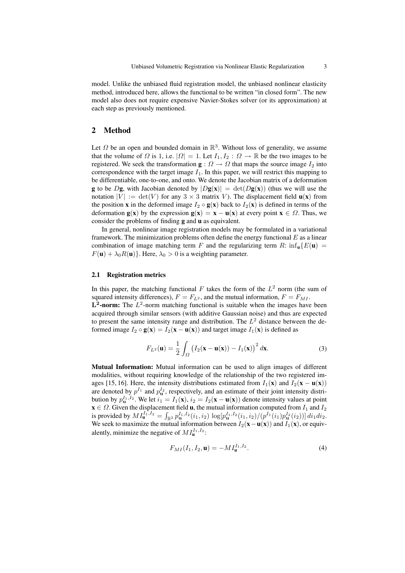model. Unlike the unbiased fluid registration model, the unbiased nonlinear elasticity method, introduced here, allows the functional to be written "in closed form". The new model also does not require expensive Navier-Stokes solver (or its approximation) at each step as previously mentioned.

# 2 Method

Let  $\Omega$  be an open and bounded domain in  $\mathbb{R}^3$ . Without loss of generality, we assume that the volume of  $\Omega$  is 1, i.e.  $|\Omega| = 1$ . Let  $I_1, I_2 : \Omega \to \mathbb{R}$  be the two images to be registered. We seek the transformation  $\mathbf{g} : \Omega \to \Omega$  that maps the source image  $I_2$  into correspondence with the target image  $I_1$ . In this paper, we will restrict this mapping to be differentiable, one-to-one, and onto. We denote the Jacobian matrix of a deformation **g** to be D**g**, with Jacobian denoted by  $|Dg(x)| = det(Dg(x))$  (thus we will use the notation  $|V| := det(V)$  for any  $3 \times 3$  matrix V). The displacement field  $\mathbf{u}(\mathbf{x})$  from the position x in the deformed image  $I_2 \circ \mathbf{g}(\mathbf{x})$  back to  $I_2(\mathbf{x})$  is defined in terms of the deformation  $g(x)$  by the expression  $g(x) = x - u(x)$  at every point  $x \in \Omega$ . Thus, we consider the problems of finding g and u as equivalent.

In general, nonlinear image registration models may be formulated in a variational framework. The minimization problems often define the energy functional  $E$  as a linear combination of image matching term F and the regularizing term R:  $\inf_{\mathbf{u}} \{E(\mathbf{u}) =$  $F(\mathbf{u}) + \lambda_0 R(\mathbf{u})$ . Here,  $\lambda_0 > 0$  is a weighting parameter.

#### 2.1 Registration metrics

In this paper, the matching functional  $F$  takes the form of the  $L^2$  norm (the sum of squared intensity differences),  $F = F_{L^2}$ , and the mutual information,  $F = F_{ML}$ .  $\mathbf{L}^2$ -norm: The  $L^2$ -norm matching functional is suitable when the images have been acquired through similar sensors (with additive Gaussian noise) and thus are expected to present the same intensity range and distribution. The  $L^2$  distance between the deformed image  $I_2 \circ \mathbf{g}(\mathbf{x}) = I_2(\mathbf{x} - \mathbf{u}(\mathbf{x}))$  and target image  $I_1(\mathbf{x})$  is defined as

$$
F_{L^2}(\mathbf{u}) = \frac{1}{2} \int_{\Omega} \left( I_2(\mathbf{x} - \mathbf{u}(\mathbf{x})) - I_1(\mathbf{x}) \right)^2 d\mathbf{x}.
$$
 (3)

Mutual Information: Mutual information can be used to align images of different modalities, without requiring knowledge of the relationship of the two registered images [15, 16]. Here, the intensity distributions estimated from  $I_1(\mathbf{x})$  and  $I_2(\mathbf{x} - \mathbf{u}(\mathbf{x}))$ are denoted by  $p^{I_1}$  and  $p^{I_2}_\mathbf{u}$ , respectively, and an estimate of their joint intensity distribution by  $p_{\mathbf{u}}^{I_1,I_2}$ . We let  $i_1 = I_1(\mathbf{x})$ ,  $i_2 = I_2(\mathbf{x} - \mathbf{u}(\mathbf{x}))$  denote intensity values at point  $\mathbf{x} \in \Omega$ . Given the displacement field **u**, the mutual information computed from  $I_1$  and  $I_2$ is provided by  $MI_{\mathbf{u}}^{I_1,I_2} = \int_{\mathbb{R}^2} p_{\mathbf{u}}^{I_1,I_2}(i_1,i_2) \log[p_{\mathbf{u}}^{I_1,I_2}(i_1,i_2)/(p^{I_1}(i_1)p_{\mathbf{u}}^{I_2}(i_2))] \, di_1 di_2.$ We seek to maximize the mutual information between  $I_2(\mathbf{x}-\mathbf{u}(\mathbf{x}))$  and  $I_1(\mathbf{x})$ , or equivalently, minimize the negative of  $MI_{\mathbf{u}}^{I_1,I_2}$ :

$$
F_{MI}(I_1, I_2, \mathbf{u}) = -M I_{\mathbf{u}}^{I_1, I_2}.
$$
 (4)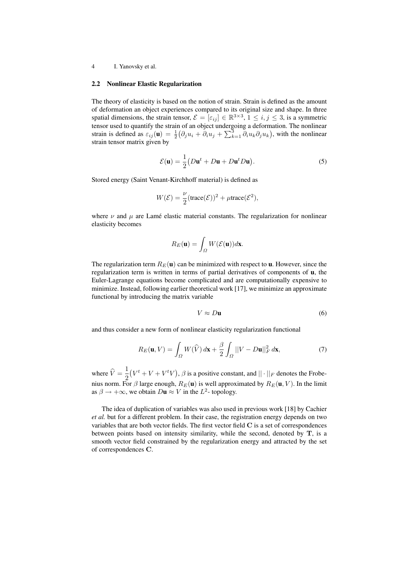#### 2.2 Nonlinear Elastic Regularization

The theory of elasticity is based on the notion of strain. Strain is defined as the amount of deformation an object experiences compared to its original size and shape. In three spatial dimensions, the strain tensor,  $\mathcal{E} = [\varepsilon_{ij}] \in \mathbb{R}^{3 \times 3}$ ,  $1 \le i, j \le 3$ , is a symmetric tensor used to quantify the strain of an object undergoing a deformation. The nonlinear strain is defined as  $\varepsilon_{ij}(\mathbf{u}) = \frac{1}{2} (\partial_j u_i + \partial_i u_j + \sum_{k=1}^3 \partial_i u_k \partial_j u_k)$ , with the nonlinear strain tensor matrix given by

$$
\mathcal{E}(\mathbf{u}) = \frac{1}{2} \left( D\mathbf{u}^t + D\mathbf{u} + D\mathbf{u}^t D\mathbf{u} \right).
$$
 (5)

Stored energy (Saint Venant-Kirchhoff material) is defined as

$$
W(\mathcal{E}) = \frac{\nu}{2}(\text{trace}(\mathcal{E}))^2 + \mu \text{trace}(\mathcal{E}^2),
$$

where  $\nu$  and  $\mu$  are Lame elastic material constants. The regularization for nonlinear elasticity becomes

$$
R_E(\mathbf{u}) = \int_{\Omega} W(\mathcal{E}(\mathbf{u})) d\mathbf{x}.
$$

The regularization term  $R_E(\mathbf{u})$  can be minimized with respect to **u**. However, since the regularization term is written in terms of partial derivatives of components of u, the Euler-Lagrange equations become complicated and are computationally expensive to minimize. Instead, following earlier theoretical work [17], we minimize an approximate functional by introducing the matrix variable

$$
V \approx D\mathbf{u} \tag{6}
$$

and thus consider a new form of nonlinear elasticity regularization functional

$$
R_E(\mathbf{u}, V) = \int_{\Omega} W(\widehat{V}) d\mathbf{x} + \frac{\beta}{2} \int_{\Omega} ||V - D\mathbf{u}||_F^2 d\mathbf{x},\tag{7}
$$

where  $\hat{V} = \frac{1}{2}$ 2  $(V^t + V + V^t V)$ ,  $\beta$  is a positive constant, and  $|| \cdot ||_F$  denotes the Frobenius norm. For  $\beta$  large enough,  $R_E(\mathbf{u})$  is well approximated by  $R_E(\mathbf{u}, V)$ . In the limit as  $\beta \rightarrow +\infty$ , we obtain  $D\mathbf{u} \approx V$  in the  $L^2$ -topology.

The idea of duplication of variables was also used in previous work [18] by Cachier *et al.* but for a different problem. In their case, the registration energy depends on two variables that are both vector fields. The first vector field C is a set of correspondences between points based on intensity similarity, while the second, denoted by T, is a smooth vector field constrained by the regularization energy and attracted by the set of correspondences C.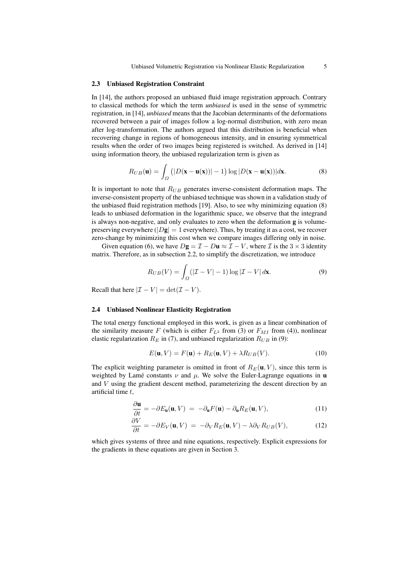#### 2.3 Unbiased Registration Constraint

In [14], the authors proposed an unbiased fluid image registration approach. Contrary to classical methods for which the term *unbiased* is used in the sense of symmetric registration, in [14], *unbiased* means that the Jacobian determinants of the deformations recovered between a pair of images follow a log-normal distribution, with zero mean after log-transformation. The authors argued that this distribution is beneficial when recovering change in regions of homogeneous intensity, and in ensuring symmetrical results when the order of two images being registered is switched. As derived in [14] using information theory, the unbiased regularization term is given as

$$
R_{UB}(\mathbf{u}) = \int_{\Omega} (|D(\mathbf{x} - \mathbf{u}(\mathbf{x}))| - 1) \log |D(\mathbf{x} - \mathbf{u}(\mathbf{x}))| d\mathbf{x}.
$$
 (8)

It is important to note that  $R_{UB}$  generates inverse-consistent deformation maps. The inverse-consistent property of the unbiased technique was shown in a validation study of the unbiased fluid registration methods [19]. Also, to see why minimizing equation (8) leads to unbiased deformation in the logarithmic space, we observe that the integrand is always non-negative, and only evaluates to zero when the deformation g is volumepreserving everywhere ( $|D\mathbf{g}| = 1$  everywhere). Thus, by treating it as a cost, we recover zero-change by minimizing this cost when we compare images differing only in noise.

Given equation (6), we have  $D\mathbf{g} = \mathcal{I} - D\mathbf{u} \approx \mathcal{I} - V$ , where  $\mathcal{I}$  is the  $3 \times 3$  identity matrix. Therefore, as in subsection 2.2, to simplify the discretization, we introduce

$$
R_{UB}(V) = \int_{\Omega} (|\mathcal{I} - V| - 1) \log |\mathcal{I} - V| d\mathbf{x}.
$$
 (9)

Recall that here  $|\mathcal{I} - V| = \det(\mathcal{I} - V)$ .

#### 2.4 Unbiased Nonlinear Elasticity Registration

The total energy functional employed in this work, is given as a linear combination of the similarity measure F (which is either  $F_{L^2}$  from (3) or  $F_{MI}$  from (4)), nonlinear elastic regularization  $R_E$  in (7), and unbiased regularization  $R_{UB}$  in (9):

$$
E(\mathbf{u}, V) = F(\mathbf{u}) + R_E(\mathbf{u}, V) + \lambda R_{UB}(V).
$$
\n(10)

The explicit weighting parameter is omitted in front of  $R_E(\mathbf{u}, V)$ , since this term is weighted by Lamé constants  $\nu$  and  $\mu$ . We solve the Euler-Lagrange equations in u and V using the gradient descent method, parameterizing the descent direction by an artificial time t,

$$
\frac{\partial \mathbf{u}}{\partial t} = -\partial E_{\mathbf{u}}(\mathbf{u}, V) = -\partial_{\mathbf{u}} F(\mathbf{u}) - \partial_{\mathbf{u}} R_E(\mathbf{u}, V), \tag{11}
$$

$$
\frac{\partial V}{\partial t} = -\partial E_V(\mathbf{u}, V) = -\partial_V R_E(\mathbf{u}, V) - \lambda \partial_V R_{UB}(V), \tag{12}
$$

which gives systems of three and nine equations, respectively. Explicit expressions for the gradients in these equations are given in Section 3.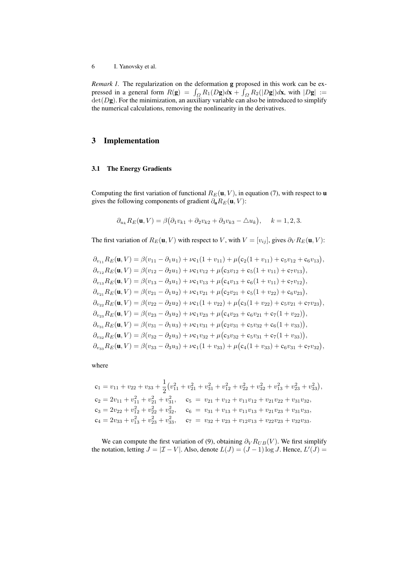*Remark 1.* The regularization on the deformation g proposed in this work can be expressed in a general form  $R(g) = \int_{\Omega} R_1(Dg) d\mathbf{x} + \int_{\Omega} R_2(|Dg|) d\mathbf{x}$ , with  $|Dg| :=$  $det(Dg)$ . For the minimization, an auxiliary variable can also be introduced to simplify the numerical calculations, removing the nonlinearity in the derivatives.

### 3 Implementation

#### 3.1 The Energy Gradients

Computing the first variation of functional  $R_E(\mathbf{u}, V)$ , in equation (7), with respect to **u** gives the following components of gradient  $\partial_{\mathbf{u}}R_E(\mathbf{u}, V)$ :

$$
\partial_{u_k} R_E(\mathbf{u}, V) = \beta \big( \partial_1 v_{k1} + \partial_2 v_{k2} + \partial_3 v_{k3} - \Delta u_k \big), \quad k = 1, 2, 3.
$$

The first variation of  $R_E(\mathbf{u}, V)$  with respect to V, with  $V = [v_{ij}]$ , gives  $\partial_V R_E(\mathbf{u}, V)$ :

$$
\partial_{v_{11}}R_E(\mathbf{u}, V) = \beta(v_{11} - \partial_1 u_1) + \nu c_1(1 + v_{11}) + \mu(c_2(1 + v_{11}) + c_5v_{12} + c_6v_{13}),
$$
  
\n
$$
\partial_{v_{12}}R_E(\mathbf{u}, V) = \beta(v_{12} - \partial_2 u_1) + \nu c_1v_{12} + \mu(c_3v_{12} + c_5(1 + v_{11}) + c_7v_{13}),
$$
  
\n
$$
\partial_{v_{13}}R_E(\mathbf{u}, V) = \beta(v_{13} - \partial_3 u_1) + \nu c_1v_{13} + \mu(c_4v_{13} + c_6(1 + v_{11}) + c_7v_{12}),
$$
  
\n
$$
\partial_{v_{21}}R_E(\mathbf{u}, V) = \beta(v_{21} - \partial_1 u_2) + \nu c_1v_{21} + \mu(c_2v_{21} + c_5(1 + v_{22}) + c_6v_{23}),
$$
  
\n
$$
\partial_{v_{22}}R_E(\mathbf{u}, V) = \beta(v_{22} - \partial_2 u_2) + \nu c_1(1 + v_{22}) + \mu(c_3(1 + v_{22}) + c_5v_{21} + c_7v_{23}),
$$
  
\n
$$
\partial_{v_{23}}R_E(\mathbf{u}, V) = \beta(v_{23} - \partial_3 u_2) + \nu c_1v_{23} + \mu(c_4v_{23} + c_6v_{21} + c_7(1 + v_{22})),
$$
  
\n
$$
\partial_{v_{31}}R_E(\mathbf{u}, V) = \beta(v_{31} - \partial_1 u_3) + \nu c_1v_{31} + \mu(c_2v_{31} + c_5v_{32} + c_6(1 + v_{33})),
$$
  
\n
$$
\partial_{v_{32}}R_E(\mathbf{u}, V) = \beta(v_{32} - \partial_2 u_3) + \nu c_1v_{32} + \mu(c_3v_{32} + c_5v_{31} + c_7(1 + v_{33})),
$$
  
\n
$$
\partial_{v_{33}}R_E(\mathbf{u}, V) = \beta(v_{33} - \partial_3 u_3) + \nu c
$$

where

$$
c_1 = v_{11} + v_{22} + v_{33} + \frac{1}{2} (v_{11}^2 + v_{21}^2 + v_{31}^2 + v_{12}^2 + v_{22}^2 + v_{32}^2 + v_{13}^2 + v_{23}^2 + v_{33}^2),
$$
  
\n
$$
c_2 = 2v_{11} + v_{11}^2 + v_{21}^2 + v_{31}^2, \t c_5 = v_{21} + v_{12} + v_{11}v_{12} + v_{21}v_{22} + v_{31}v_{32},
$$
  
\n
$$
c_3 = 2v_{22} + v_{12}^2 + v_{22}^2 + v_{32}^2, \t c_6 = v_{31} + v_{13} + v_{11}v_{13} + v_{21}v_{23} + v_{31}v_{33},
$$
  
\n
$$
c_4 = 2v_{33} + v_{13}^2 + v_{23}^2 + v_{33}^2, \t c_7 = v_{32} + v_{23} + v_{12}v_{13} + v_{22}v_{23} + v_{32}v_{33}.
$$

We can compute the first variation of (9), obtaining  $\partial_V R_{UB}(V)$ . We first simplify the notation, letting  $J = |\mathcal{I} - V|$ . Also, denote  $L(J) = (J - 1) \log J$ . Hence,  $L'(J) =$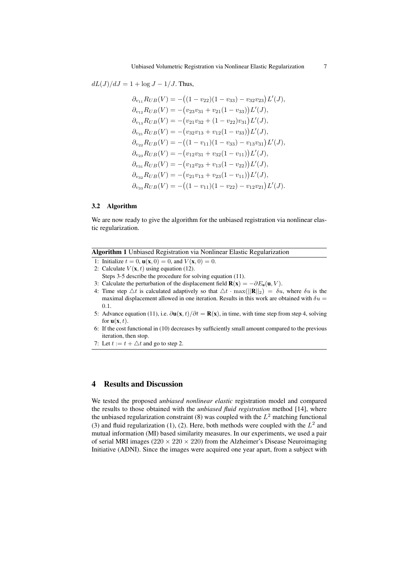$dL(J)/dJ = 1 + \log J - 1/J$ . Thus,

$$
\partial_{v_{11}}R_{UB}(V) = -((1 - v_{22})(1 - v_{33}) - v_{32}v_{23})L'(J),\n\partial_{v_{12}}R_{UB}(V) = -(v_{23}v_{31} + v_{21}(1 - v_{33}))L'(J),\n\partial_{v_{13}}R_{UB}(V) = -(v_{21}v_{32} + (1 - v_{22})v_{31})L'(J),\n\partial_{v_{21}}R_{UB}(V) = -(v_{32}v_{13} + v_{12}(1 - v_{33}))L'(J),\n\partial_{v_{22}}R_{UB}(V) = -((1 - v_{11})(1 - v_{33}) - v_{13}v_{31})L'(J),\n\partial_{v_{23}}R_{UB}(V) = -(v_{12}v_{31} + v_{32}(1 - v_{11}))L'(J),\n\partial_{v_{31}}R_{UB}(V) = -(v_{12}v_{23} + v_{13}(1 - v_{22}))L'(J),\n\partial_{v_{32}}R_{UB}(V) = -(v_{21}v_{13} + v_{23}(1 - v_{11}))L'(J),\n\partial_{v_{33}}R_{UB}(V) = -((1 - v_{11})(1 - v_{22}) - v_{12}v_{21})L'(J).
$$

#### 3.2 Algorithm

We are now ready to give the algorithm for the unbiased registration via nonlinear elastic regularization.

|  | Algorithm 1 Unbiased Registration via Nonlinear Elastic Regularization |
|--|------------------------------------------------------------------------|
|  |                                                                        |

- 1: Initialize  $t = 0$ ,  $u(x, 0) = 0$ , and  $V(x, 0) = 0$ .
- 2: Calculate  $V(\mathbf{x}, t)$  using equation (12).
- Steps 3-5 describe the procedure for solving equation (11).
- 3: Calculate the perturbation of the displacement field  $\mathbf{R}(\mathbf{x}) = -\partial E_{\mathbf{u}}(\mathbf{u}, V)$ .
- 4: Time step  $\Delta t$  is calculated adaptively so that  $\Delta t \cdot \max(||\mathbf{R}||_2) = \delta u$ , where  $\delta u$  is the maximal displacement allowed in one iteration. Results in this work are obtained with  $\delta u =$ 0.1.
- 5: Advance equation (11), i.e.  $\partial$ **u**(**x**, t)/ $\partial$ t = **R**(**x**), in time, with time step from step 4, solving for  $\mathbf{u}(\mathbf{x}, t)$ .
- 6: If the cost functional in (10) decreases by sufficiently small amount compared to the previous iteration, then stop.
- 7: Let  $t := t + \Delta t$  and go to step 2.

### 4 Results and Discussion

We tested the proposed *unbiased nonlinear elastic* registration model and compared the results to those obtained with the *unbiased fluid registration* method [14], where the unbiased regularization constraint (8) was coupled with the  $L^2$  matching functional (3) and fluid regularization (1), (2). Here, both methods were coupled with the  $L^2$  and mutual information (MI) based similarity measures. In our experiments, we used a pair of serial MRI images ( $220 \times 220 \times 220$ ) from the Alzheimer's Disease Neuroimaging Initiative (ADNI). Since the images were acquired one year apart, from a subject with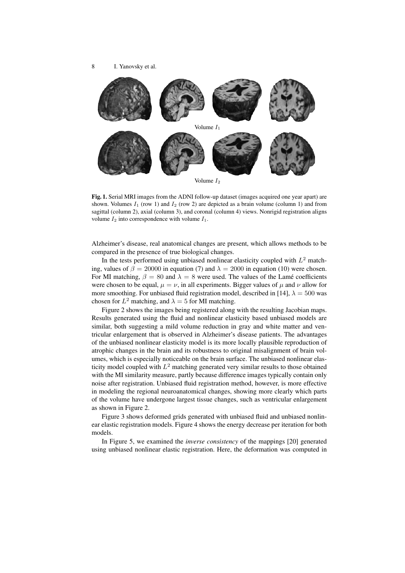

Fig. 1. Serial MRI images from the ADNI follow-up dataset (images acquired one year apart) are shown. Volumes  $I_1$  (row 1) and  $I_2$  (row 2) are depicted as a brain volume (column 1) and from sagittal (column 2), axial (column 3), and coronal (column 4) views. Nonrigid registration aligns volume  $I_2$  into correspondence with volume  $I_1$ .

Alzheimer's disease, real anatomical changes are present, which allows methods to be compared in the presence of true biological changes.

In the tests performed using unbiased nonlinear elasticity coupled with  $L^2$  matching, values of  $\beta = 20000$  in equation (7) and  $\lambda = 2000$  in equation (10) were chosen. For MI matching,  $\beta = 80$  and  $\lambda = 8$  were used. The values of the Lamé coefficients were chosen to be equal,  $\mu = \nu$ , in all experiments. Bigger values of  $\mu$  and  $\nu$  allow for more smoothing. For unbiased fluid registration model, described in [14],  $\lambda = 500$  was chosen for  $L^2$  matching, and  $\lambda = 5$  for MI matching.

Figure 2 shows the images being registered along with the resulting Jacobian maps. Results generated using the fluid and nonlinear elasticity based unbiased models are similar, both suggesting a mild volume reduction in gray and white matter and ventricular enlargement that is observed in Alzheimer's disease patients. The advantages of the unbiased nonlinear elasticity model is its more locally plausible reproduction of atrophic changes in the brain and its robustness to original misalignment of brain volumes, which is especially noticeable on the brain surface. The unbiased nonlinear elasticity model coupled with  $L^2$  matching generated very similar results to those obtained with the MI similarity measure, partly because difference images typically contain only noise after registration. Unbiased fluid registration method, however, is more effective in modeling the regional neuroanatomical changes, showing more clearly which parts of the volume have undergone largest tissue changes, such as ventricular enlargement as shown in Figure 2.

Figure 3 shows deformed grids generated with unbiased fluid and unbiased nonlinear elastic registration models. Figure 4 shows the energy decrease per iteration for both models.

In Figure 5, we examined the *inverse consistency* of the mappings [20] generated using unbiased nonlinear elastic registration. Here, the deformation was computed in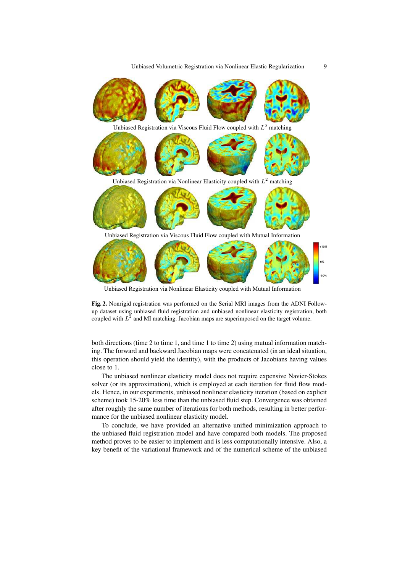Unbiased Volumetric Registration via Nonlinear Elastic Regularization 9



Unbiased Registration via Nonlinear Elasticity coupled with Mutual Information

Fig. 2. Nonrigid registration was performed on the Serial MRI images from the ADNI Followup dataset using unbiased fluid registration and unbiased nonlinear elasticity registration, both coupled with  $L^2$  and MI matching. Jacobian maps are superimposed on the target volume.

both directions (time 2 to time 1, and time 1 to time 2) using mutual information matching. The forward and backward Jacobian maps were concatenated (in an ideal situation, this operation should yield the identity), with the products of Jacobians having values close to 1.

The unbiased nonlinear elasticity model does not require expensive Navier-Stokes solver (or its approximation), which is employed at each iteration for fluid flow models. Hence, in our experiments, unbiased nonlinear elasticity iteration (based on explicit scheme) took 15-20% less time than the unbiased fluid step. Convergence was obtained after roughly the same number of iterations for both methods, resulting in better performance for the unbiased nonlinear elasticity model.

To conclude, we have provided an alternative unified minimization approach to the unbiased fluid registration model and have compared both models. The proposed method proves to be easier to implement and is less computationally intensive. Also, a key benefit of the variational framework and of the numerical scheme of the unbiased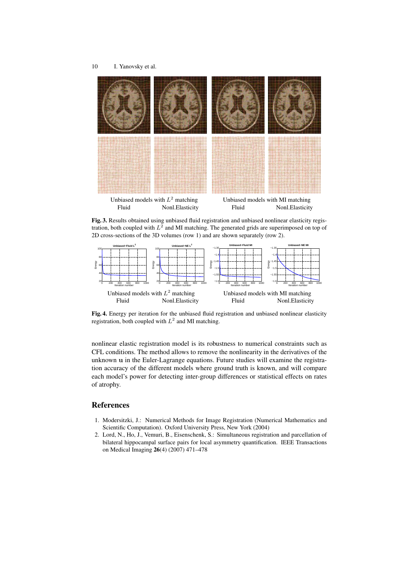

Fig. 3. Results obtained using unbiased fluid registration and unbiased nonlinear elasticity registration, both coupled with  $L^2$  and MI matching. The generated grids are superimposed on top of 2D cross-sections of the 3D volumes (row 1) and are shown separately (row 2).



Fig. 4. Energy per iteration for the unbiased fluid registration and unbiased nonlinear elasticity registration, both coupled with  $L^2$  and MI matching.

nonlinear elastic registration model is its robustness to numerical constraints such as CFL conditions. The method allows to remove the nonlinearity in the derivatives of the unknown u in the Euler-Lagrange equations. Future studies will examine the registration accuracy of the different models where ground truth is known, and will compare each model's power for detecting inter-group differences or statistical effects on rates of atrophy.

## **References**

- 1. Modersitzki, J.: Numerical Methods for Image Registration (Numerical Mathematics and Scientific Computation). Oxford University Press, New York (2004)
- 2. Lord, N., Ho, J., Vemuri, B., Eisenschenk, S.: Simultaneous registration and parcellation of bilateral hippocampal surface pairs for local asymmetry quantification. IEEE Transactions on Medical Imaging 26(4) (2007) 471–478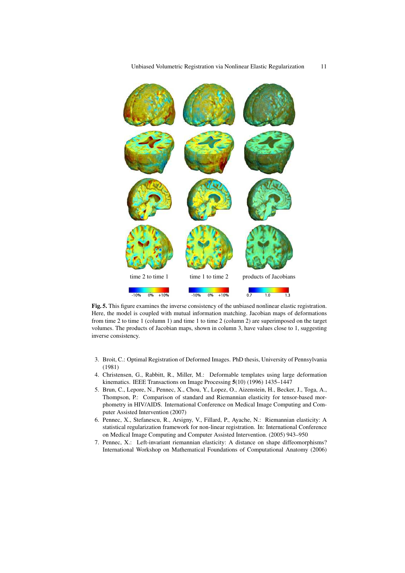

Fig. 5. This figure examines the inverse consistency of the unbiased nonlinear elastic registration. Here, the model is coupled with mutual information matching. Jacobian maps of deformations from time 2 to time 1 (column 1) and time 1 to time 2 (column 2) are superimposed on the target volumes. The products of Jacobian maps, shown in column 3, have values close to 1, suggesting inverse consistency.

- 3. Broit, C.: Optimal Registration of Deformed Images. PhD thesis, University of Pennsylvania (1981)
- 4. Christensen, G., Rabbitt, R., Miller, M.: Deformable templates using large deformation kinematics. IEEE Transactions on Image Processing 5(10) (1996) 1435–1447
- 5. Brun, C., Lepore, N., Pennec, X., Chou, Y., Lopez, O., Aizenstein, H., Becker, J., Toga, A., Thompson, P.: Comparison of standard and Riemannian elasticity for tensor-based morphometry in HIV/AIDS. International Conference on Medical Image Computing and Computer Assisted Intervention (2007)
- 6. Pennec, X., Stefanescu, R., Arsigny, V., Fillard, P., Ayache, N.: Riemannian elasticity: A statistical regularization framework for non-linear registration. In: International Conference on Medical Image Computing and Computer Assisted Intervention. (2005) 943–950
- 7. Pennec, X.: Left-invariant riemannian elasticity: A distance on shape diffeomorphisms? International Workshop on Mathematical Foundations of Computational Anatomy (2006)